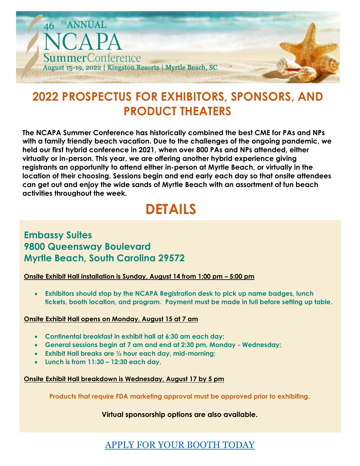

# **2022 PROSPECTUS FOR EXHIBITORS, SPONSORS, AND PRODUCT THEATERS**

**The NCAPA Summer Conference has historically combined the best CME for PAs and NPs with a family friendly beach vacation. Due to the challenges of the ongoing pandemic, we held our first hybrid conference in 2021, when over 800 PAs and NPs attended, either virtually or in-person. This year, we are offering another hybrid experience giving registrants an opportunity to attend either in-person at Myrtle Beach, or virtually in the location of their choosing. Sessions begin and end early each day so that onsite attendees can get out and enjoy the wide sands of Myrtle Beach with an assortment of fun beach activities throughout the week.**

# **DETAILS**

## **Embassy Suites 9800 Queensway Boulevard Myrtle Beach, South Carolina 29572**

#### **Onsite Exhibit Hall installation is Sunday, August 14 from 1:00 pm – 5:00 pm**

• **Exhibitors should stop by the NCAPA Registration desk to pick up name badges, lunch tickets, booth location, and program. Payment must be made in full before setting up table.**

#### **Onsite Exhibit Hall opens on Monday, August 15 at 7 am**

- **Continental breakfast in exhibit hall at 6:30 am each day;**
- **General sessions begin at 7 am and end at 2:30 pm, Monday - Wednesday;**
- **Exhibit Hall breaks are ½ hour each day, mid-morning;**
- **Lunch is from 11:30 – 12:30 each day.**

#### **Onsite Exhibit Hall breakdown is Wednesday, August 17 by 5 pm**

**Products that require FDA marketing approval must be approved prior to exhibiting.**

**Virtual sponsorship options are also available.**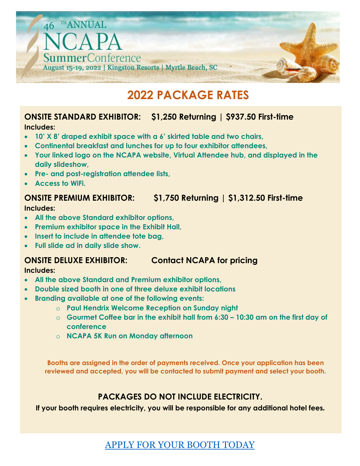

# **2022 PACKAGE RATES**

### **ONSITE STANDARD EXHIBITOR: \$1,250 Returning | \$937.50 First-time Includes:**

- **10' X 8' draped exhibit space with a 6' skirted table and two chairs,**
- **Continental breakfast and lunches for up to four exhibitor attendees,**
- **Your linked logo on the NCAPA website, Virtual Attendee hub, and displayed in the daily slideshow,**
- **Pre- and post-registration attendee lists,**
- **Access to WiFi.**

### **ONSITE PREMIUM EXHIBITOR: \$1,750 Returning | \$1,312.50 First-time**

#### **Includes:**

- **All the above Standard exhibitor options,**
- **Premium exhibitor space in the Exhibit Hall,**
- **Insert to include in attendee tote bag,**
- **Full slide ad in daily slide show.**

# **ONSITE DELUXE EXHIBITOR: Contact NCAPA for pricing**

#### **Includes:**

- **All the above Standard and Premium exhibitor options,**
- **Double sized booth in one of three deluxe exhibit locations**
- **Branding available at one of the following events:**
	- o **Paul Hendrix Welcome Reception on Sunday night**
	- o **Gourmet Coffee bar in the exhibit hall from 6:30 – 10:30 am on the first day of conference**
	- o **NCAPA 5K Run on Monday afternoon**

**Booths are assigned in the order of payments received. Once your application has been reviewed and accepted, you will be contacted to submit payment and select your booth.**

## **PACKAGES DO NOT INCLUDE ELECTRICITY.**

**If your booth requires electricity, you will be responsible for any additional hotel fees.**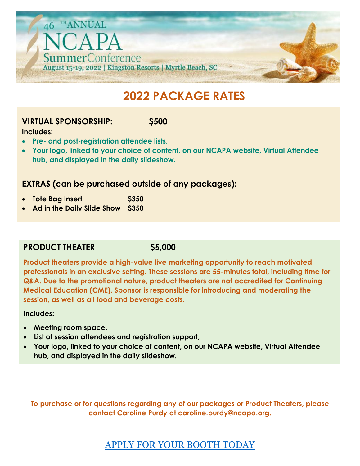

# **2022 PACKAGE RATES**

### **VIRTUAL SPONSORSHIP: \$500**

#### **Includes:**

- **Pre- and post-registration attendee lists,**
- **Your logo, linked to your choice of content, on our NCAPA website, Virtual Attendee hub, and displayed in the daily slideshow.**

### **EXTRAS (can be purchased outside of any packages):**

- **Tote Bag Insert \$350**
- **Ad in the Daily Slide Show \$350**

### **PRODUCT THEATER \$5,000**

**Product theaters provide a high-value live marketing opportunity to reach motivated professionals in an exclusive setting. These sessions are 55-minutes total, including time for Q&A. Due to the promotional nature, product theaters are not accredited for Continuing Medical Education (CME). Sponsor is responsible for introducing and moderating the session, as well as all food and beverage costs.**

#### **Includes:**

- **Meeting room space,**
- **List of session attendees and registration support,**
- **Your logo, linked to your choice of content, on our NCAPA website, Virtual Attendee hub, and displayed in the daily slideshow.**

**To purchase or for questions regarding any of our packages or Product Theaters, please contact Caroline Purdy at caroline.purdy@ncapa.org.**